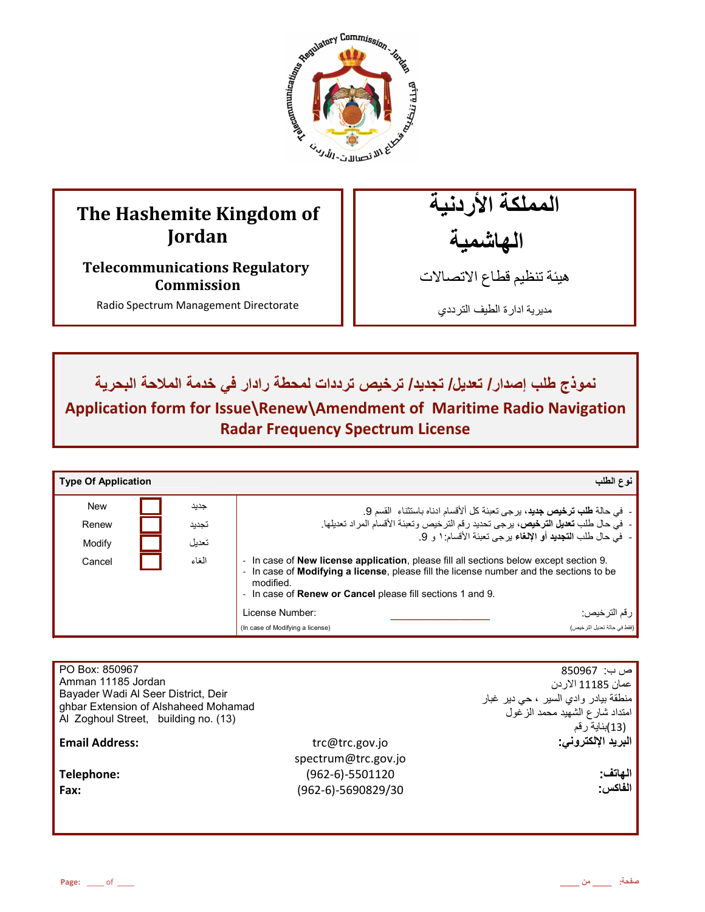

# **The Hashemite Kingdom of Jordan**

**Telecommunications Regulatory Commission** 

Radio Spectrum Management Directorate

المملكة الأردنية الـهاشمية

هيئة تنظيم قطاع الاتصـالات

مديرية ادارة الطيف الترددي

نموذج طلب إصدار / تعديل/ تجديد/ ترخيص ترددات لمحطة رادار في خدمة الملاحة البحرية

**Application form for Issue\Renew\Amendment of Maritime Radio Navigation Radar Frequency Spectrum License** 

| <b>Type Of Application</b> |       | نوع الطلب                                                                                                                                                                                                                                                                                 |
|----------------------------|-------|-------------------------------------------------------------------------------------------------------------------------------------------------------------------------------------------------------------------------------------------------------------------------------------------|
| <b>New</b>                 | جديد  | - في حالة <b>طلب ترخيص جديد</b> ، برجي تعبئة كل ألأقسام ادناه باستثناء  القسم 9.                                                                                                                                                                                                          |
| Renew                      | تجديد | -  فيّ حال طلب تعديل الترخيص، برحي تحديد رقم الترخيص وتعبئة الأقسام المراد تعديلها.                                                                                                                                                                                                       |
| Modify                     | تعديل | -  في حال طلب ا <b>لتجديد</b> أو الإ <b>لغ</b> اء بر جي تعبئة الأقسام: ١ و  9.                                                                                                                                                                                                            |
| Cancel                     | الغاء | In case of <b>New license application</b> , please fill all sections below except section 9.<br>$\sim$<br>In case of <b>Modifying a license</b> , please fill the license number and the sections to be<br>modified.<br>- In case of <b>Renew or Cancel</b> please fill sections 1 and 9. |
|                            |       | رقم الترخيص:<br>License Number:                                                                                                                                                                                                                                                           |
|                            |       | (فقط في حالة تحديل التر خيص)<br>(In case of Modifying a license)                                                                                                                                                                                                                          |

| PO Box: 850967                       |                      | ص ب:  850967                         |
|--------------------------------------|----------------------|--------------------------------------|
| Amman 11185 Jordan                   |                      | عمان 11185 الاردن                    |
| Bayader Wadi Al Seer District, Deir  |                      | منطقة بيادر وادي السير ، حي دير غبار |
| ghbar Extension of Alshaheed Mohamad |                      | امتداد شارع الشهيد محمد الزغول       |
| Al Zoghoul Street, building no. (13) |                      | (13)بناية رقم                        |
| <b>Email Address:</b>                | trc@trc.gov.jo       | البريد الإلكتروني:                   |
|                                      | spectrum@trc.gov.jo  |                                      |
| Telephone:                           | $(962-6)-5501120$    | الهاتف:                              |
| Fax:                                 | $(962-6)-5690829/30$ | الفاكس:                              |
|                                      |                      |                                      |
|                                      |                      |                                      |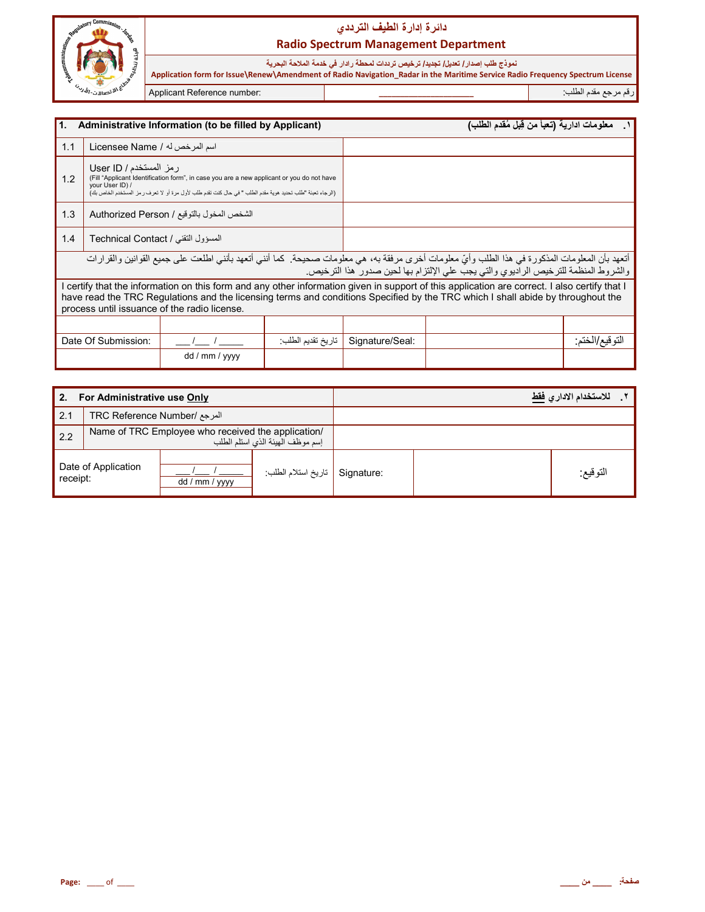

# دائرة إدارة الطيف الترد*دي* **Radio Spectrum Management Department**

نموذج طلب إصدار **/ تعديل/ تجديد/ ترخيص ترددات لمحطة ر**ادار في خدمة الملاحة البحرية  **Application form for Issue\Renew\Amendment of Radio Navigation\_Radar in the Maritime Service Radio Frequency Spectrum License** رم رf &دم اط\*ب: **\_\_\_\_\_\_\_\_\_\_\_\_\_\_\_\_\_\_\_\_\_\_** :number Reference Applicant

L

| 1.<br>Administrative Information (to be filled by Applicant)                                                                                                                                                                                                                                                                   |                                    |                |                   | معلومات ادارية (تعبأ من قِبل مُقدم الطلب)                                          |  |                 |
|--------------------------------------------------------------------------------------------------------------------------------------------------------------------------------------------------------------------------------------------------------------------------------------------------------------------------------|------------------------------------|----------------|-------------------|------------------------------------------------------------------------------------|--|-----------------|
| 1.1                                                                                                                                                                                                                                                                                                                            | اسم المرخص له / Licensee Name      |                |                   |                                                                                    |  |                 |
| رمز المستخدم / User ID<br>1.2<br>(Fill "Applicant Identification form", in case you are a new applicant or you do not have<br>your User ID) /<br>(الرجاء تعبئة "طلب تحديد هوية مقدم الطلب " في حال كنت تقدم طلب لأول مرة أو لا تعرف رمز المستخدم الخاص بك)                                                                     |                                    |                |                   |                                                                                    |  |                 |
| 1.3<br>الشخص المخول بالتوقيع / Authorized Person                                                                                                                                                                                                                                                                               |                                    |                |                   |                                                                                    |  |                 |
| 1.4                                                                                                                                                                                                                                                                                                                            | المسؤول التقني / Technical Contact |                |                   |                                                                                    |  |                 |
| أتعهد بأن المعلومات المذكورة في هذا الطلب وأيّ معلومات أخرى مرفقة به، هي معلومات صحيحة. كما أنني أتعهد بأنني اطلعت على جميع القوانين والقرارات                                                                                                                                                                                 |                                    |                |                   | والشروط المنظمة للترخيص الراديوي والتي يجب على الإلتزام بها لحين صدور هذا الترخيص. |  |                 |
| certify that the information on this form and any other information given in support of this application are correct. I also certify that I<br>have read the TRC Regulations and the licensing terms and conditions Specified by the TRC which I shall abide by throughout the<br>process until issuance of the radio license. |                                    |                |                   |                                                                                    |  |                 |
|                                                                                                                                                                                                                                                                                                                                |                                    |                |                   |                                                                                    |  |                 |
|                                                                                                                                                                                                                                                                                                                                | Date Of Submission:                |                | تاريخ تقديم الطلب | Signature/Seal:                                                                    |  | التو قيع/الختم: |
|                                                                                                                                                                                                                                                                                                                                |                                    | dd / mm / yyyy |                   |                                                                                    |  |                 |

| For Administrative use Only<br>2. |                                                                                        |                |                    | للاستخدام الادار  فقط |          |
|-----------------------------------|----------------------------------------------------------------------------------------|----------------|--------------------|-----------------------|----------|
| 2.1                               | المرجع /TRC Reference Number                                                           |                |                    |                       |          |
| 2.2                               | Name of TRC Employee who received the application/<br>إسم موظف الهيئة الذي استلم الطلب |                |                    |                       |          |
| receipt:                          | Date of Application                                                                    | dd / mm / yyyy | تاريخ استلام الطلب | Signature:            | النوقيع: |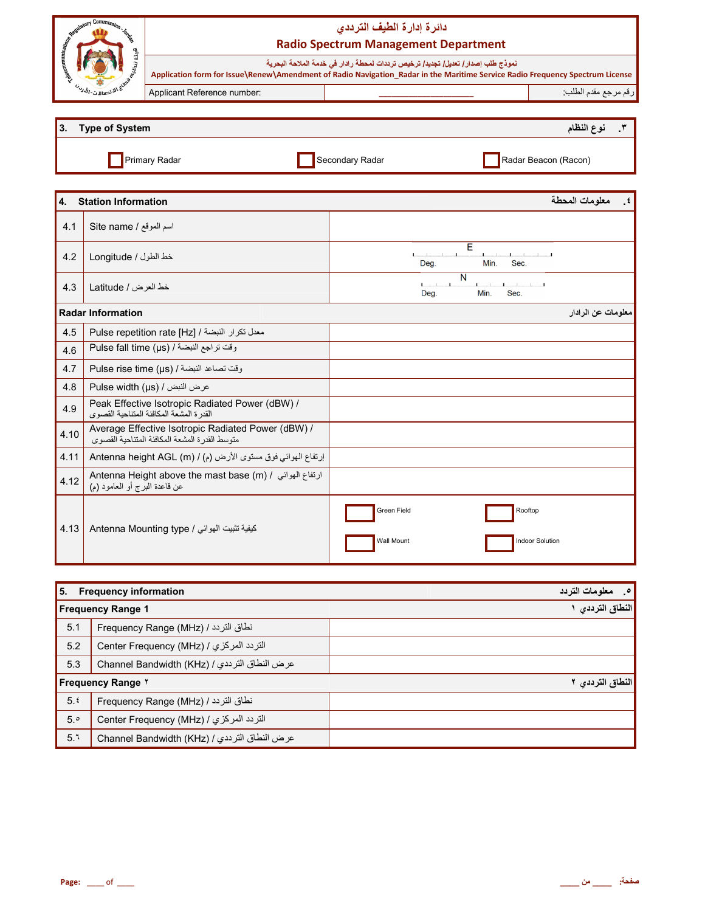| Commiss<br><b><i><u>Aulatory</u></i></b><br>area<br>Р. |                                                                                                                                                                                                                  | دائرة إدارة الطيف الترددى<br><b>Radio Spectrum Management Department</b> |          |
|--------------------------------------------------------|------------------------------------------------------------------------------------------------------------------------------------------------------------------------------------------------------------------|--------------------------------------------------------------------------|----------|
|                                                        | نموذج طلب إصدار/ تعديل/ تجديد/ ترخيص ترددات لمحطة رادار في خدمة الملاحة البحرية<br>Application form for Issue\Renew\Amendment of Radio Navigation_Radar in the Maritime Service Radio Frequency Spectrum License |                                                                          |          |
| シ <sub>ングイン・コ</sub> ,jiiv                              | Applicant Reference number:                                                                                                                                                                                      |                                                                          |          |
|                                                        |                                                                                                                                                                                                                  |                                                                          |          |
| Type of System                                         |                                                                                                                                                                                                                  |                                                                          | ۶ الفظاھ |

| <b>Type of System</b> |                 | النظام               |
|-----------------------|-----------------|----------------------|
| Primary Radar         | Secondary Radar | Radar Beacon (Racon) |

معلومات المحطة 4. **Station Information** Site name / اسم الموقع  $4.1$ E  $\mathbf{L}$  and  $\mathbf{L}$ خط الطول / Longitude  $4.2$ Deg. Min. Sec.  $\overline{\mathsf{N}}$  $1 - 1 - 1$  $4.3$ خط العرض / Latitude Deg. Min. Sec. **Radar Information** معلومات عن الرادار 4.5 Pulse repetition rate [Hz] / أصعدل تكرار النبضة / وقت تراجع النبضة / Pulse fall time (µs)  $4.6$  $4.7$ وقت تصاعد النبضة / Pulse rise time (µs)  $4.8$ Pulse width (µs) / عرض النبض / Peak Effective Isotropic Radiated Power (dBW) / 4.9 Average Effective Isotropic Radiated Power (dBW) / 4.10 متوسط القدرة المشعة المكافئة المتناحية القصوى 4.11 إرتفاع الهوائي فوق مستوى الأرض (م) / Antenna height AGL (m) Antenna Height above the mast base (m) / ارتفاع المهوائي / 4.12 عن قاعدة المبرِّ ج أو العامود (م) ī.

| 15.                  | <b>Frequency information</b>                |                    | $\cdot$ .<br>معلومات التردد |
|----------------------|---------------------------------------------|--------------------|-----------------------------|
|                      |                                             | <b>Wall Mount</b>  | Indoor Solution             |
| $\vert$ 4.13 $\vert$ | Antenna Mounting type / كيفية تثبيت الهوائي | <b>Green Field</b> | Rooftop                     |

| $\blacksquare$ b. Frequency information |                                              | ا <sup>ص</sup> . محومات العردد |
|-----------------------------------------|----------------------------------------------|--------------------------------|
|                                         | <b>Frequency Range 1</b>                     | النطاق الترددي                 |
| 5.1                                     | نطاق التردد / Frequency Range (MHz)          |                                |
| 5.2                                     | التردد المركزي / (Center Frequency (MHz      |                                |
| 5.3                                     | عرض النطاق الترددي / Channel Bandwidth (KHz) |                                |
|                                         | <b>Frequency Range Y</b>                     | النطاق الترددي ٢               |
| 5.5                                     | نطاق التردد / Frequency Range (MHz)          |                                |
| 5.°                                     | التردد المركزي / (Center Frequency (MHz      |                                |
| 5.1                                     | عرض النطاق الترددي / Channel Bandwidth (KHz) |                                |

 $\cdot$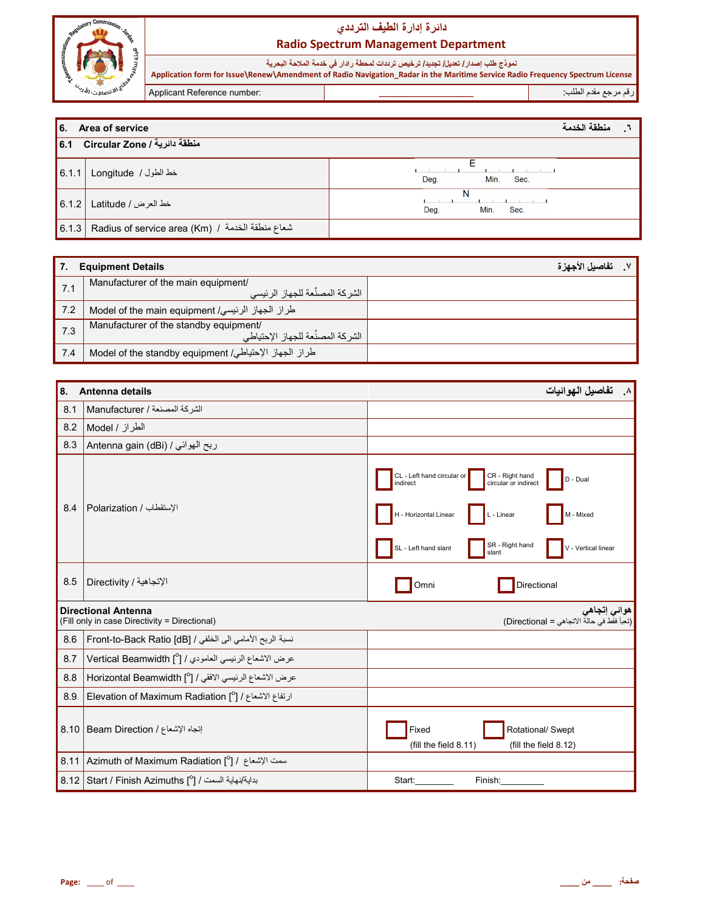

# دائرة إدارة الطيف الترددي **Radio Spectrum Management Department**

نموذج طلب إصدار/ تعديل/ تجديد/ ترخيص ترددات لمحطة رادار في خدمة الملاحة البحرية<br>Application form for Issue\Renew\Amendment of Radio Navigation\_Radar in the Maritime Service Radio Frequency Spectrum License رقم مرجع مقدم الطلب Applicant Reference number:

| <b>6.</b>        | منطقة الخدمة<br>Area of service                   |                      |  |
|------------------|---------------------------------------------------|----------------------|--|
| $\overline{6.1}$ | منطقة دائرية / Circular Zone                      |                      |  |
| 6.1.1            | خط الطول / Longitude                              | Min.<br>Sec.<br>Deg. |  |
| 6.1.2            | خط العرض / Latitude                               | Min.<br>Deg.<br>Sec. |  |
| 6.1.3            | Radius of service area (Km) / شعاع منطقة الخدمة / |                      |  |

|     | <b>Equipment Details</b>                                                       | تفاصيل الأجهز ة |
|-----|--------------------------------------------------------------------------------|-----------------|
| 7.1 | Manufacturer of the main equipment/<br>. الشر كة المصنِّعة للجهاز الرئيسي      |                 |
| 7.2 | طراز الجهاز الرئيسي/ Model of the main equipment                               |                 |
| 7.3 | Manufacturer of the standby equipment/<br>، الشر كة المصنِّعة للجهاز الإحتياطي |                 |
| 7.4 | طراز الجهاز الإحتياطي/ Model of the standby equipment                          |                 |

| 8.<br>Antenna details |                                                                             | ٨. تفاصيل الـهوائيات                                                                                                                                                                                                         |
|-----------------------|-----------------------------------------------------------------------------|------------------------------------------------------------------------------------------------------------------------------------------------------------------------------------------------------------------------------|
| 8.1                   | الشركة المصنعة / Manufacturer                                               |                                                                                                                                                                                                                              |
| 8.2                   | الطراز / Model                                                              |                                                                                                                                                                                                                              |
| 8.3                   | ربح الهوائي / Antenna gain (dBi)                                            |                                                                                                                                                                                                                              |
| 8.4                   | الإستقطاب / Polarization                                                    | CL - Left hand circular or<br>CR - Right hand<br>circular or indirect<br>D - Dual<br>indirect<br>H - Horizontal Linear<br>L - Linear<br>M - Mixed<br>SR - Right hand<br>SL - Left hand slant<br>V - Vertical linear<br>slant |
| 8.5                   | الإتجاهية / Directivity                                                     | Directional<br>Omni                                                                                                                                                                                                          |
|                       | <b>Directional Antenna</b><br>(Fill only in case Directivity = Directional) | هوائي إتجاهي<br>(تعبأ فقط في حالة الاتجاهي = Directional)                                                                                                                                                                    |
| 8.6                   | نسبة الربح الأمامي الى الخلفي / Front-to-Back Ratio [dB]                    |                                                                                                                                                                                                                              |
| 8.7                   | عرض الاشعاع الرئيسي العامودي / [ <sup>0</sup> ] Vertical Beamwidth          |                                                                                                                                                                                                                              |
| 8.8                   | عرض الاشعاع الرئيسي الافقي / [ <sup>0</sup> ] Horizontal Beamwidth          |                                                                                                                                                                                                                              |
| 8.9                   | ارتفاع الاشعاع / [ <sup>0</sup> ] Elevation of Maximum Radiation            |                                                                                                                                                                                                                              |
| 8.10                  | تجاه الإشعاع / Beam Direction                                               | Rotational/ Swept<br>Fixed<br>(fill the field 8.11)<br>(fill the field 8.12)                                                                                                                                                 |
| 8.11                  | Azimuth of Maximum Radiation [ $^{\circ}$ ] / اسمت الإشعاع /                |                                                                                                                                                                                                                              |
|                       | بداية/نهاية السمت / [0] Start / Finish Azimuths [                           | Start:<br>Finish:                                                                                                                                                                                                            |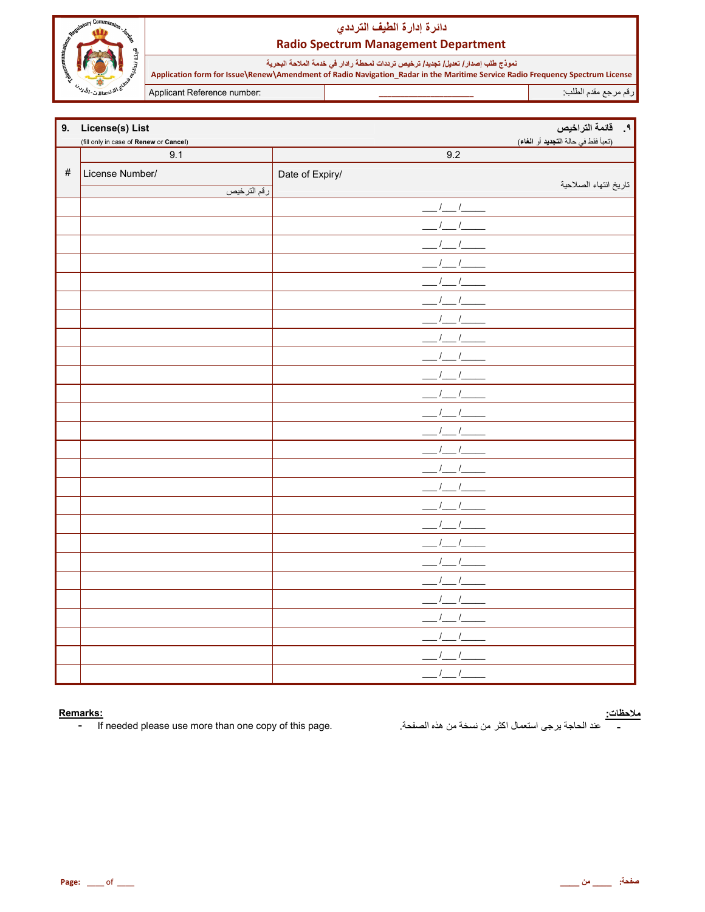

# دائرة إدارة الطيف الترددي **Radio Spectrum Management Department**

نموذج طلب إصدار/ تعديل/ تجديد/ ترخيص ترددات لمحطة رادار في خدمة الملاحة البحرية<br>Application form for Issue\Renew\Amendment of Radio Navigation\_Radar in the Maritime Service Radio Frequency Spectrum License رقم مرجع مقدم الطلب Applicant Reference number:

| 9.   | License(s) List                        |                 | ٩. قائمة التراخيص                   |
|------|----------------------------------------|-----------------|-------------------------------------|
|      | (fill only in case of Renew or Cancel) |                 | (تعبأ فقط في حالة التجديد أو الغاء) |
|      | 9.1                                    | 9.2             |                                     |
| $\#$ | License Number/                        | Date of Expiry/ |                                     |
|      | رقم الترخيص                            |                 | تاريخ انتهاء الصلاحية               |
|      |                                        |                 |                                     |
|      |                                        |                 |                                     |
|      |                                        |                 |                                     |
|      |                                        |                 |                                     |
|      |                                        |                 |                                     |
|      |                                        |                 |                                     |
|      |                                        |                 |                                     |
|      |                                        |                 |                                     |
|      |                                        |                 |                                     |
|      |                                        |                 |                                     |
|      |                                        |                 |                                     |
|      |                                        |                 |                                     |
|      |                                        |                 |                                     |
|      |                                        |                 |                                     |
|      |                                        |                 |                                     |
|      |                                        |                 |                                     |
|      |                                        |                 |                                     |
|      |                                        |                 |                                     |
|      |                                        |                 |                                     |
|      |                                        |                 |                                     |
|      |                                        |                 |                                     |
|      |                                        |                 |                                     |
|      |                                        |                 |                                     |
|      |                                        |                 |                                     |
|      |                                        |                 |                                     |
|      |                                        | $\prime$        |                                     |

#### Remarks:

If needed please use more than one copy of this page.  $\blacksquare$ 

<mark>ملاحظات:</mark><br>\_\_\_\_\_\_ عند الحاجة يرجى استعمال اكثر من نسخة من هذه الصفحة.<sub>.</sub>